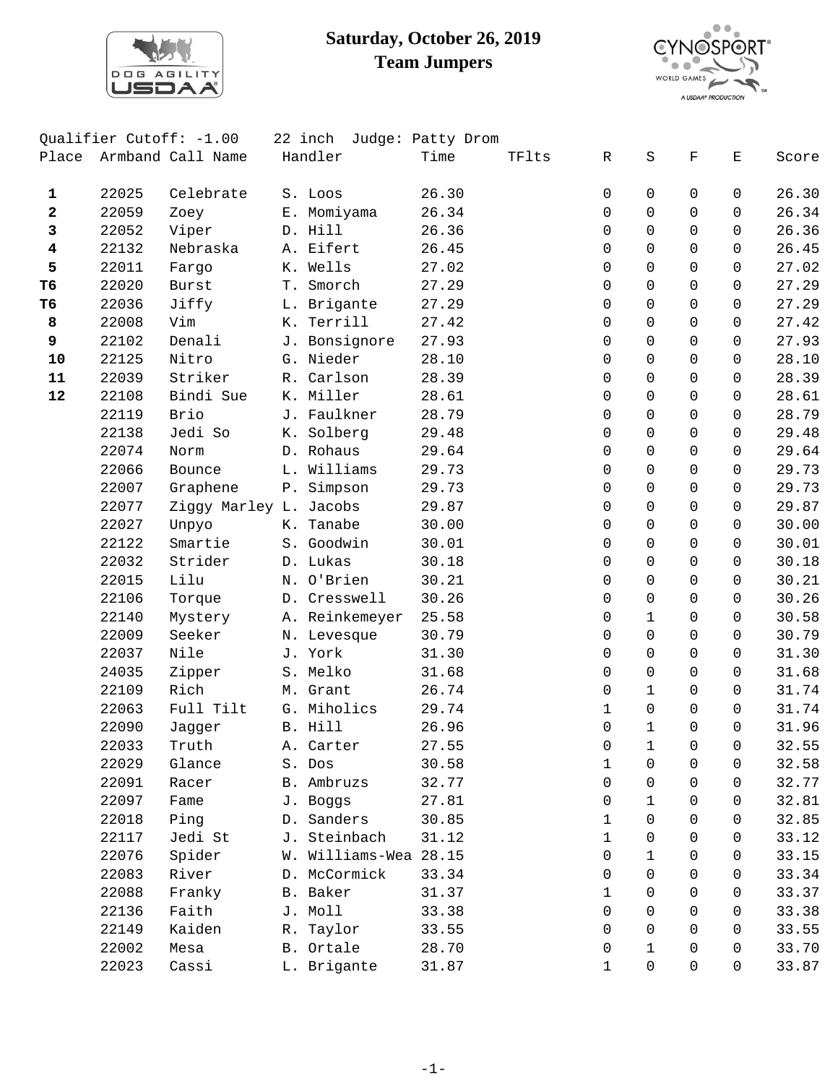

## **Saturday, October 26, 2019 Team Jumpers**



|                |       | Qualifier Cutoff: -1.00 | 22 inch               | Judge: Patty Drom |       |          |              |             |              |       |
|----------------|-------|-------------------------|-----------------------|-------------------|-------|----------|--------------|-------------|--------------|-------|
|                |       | Place Armband Call Name | Handler               | Time              | TFlts | R        | S            | $\mathbf F$ | Ε            | Score |
| 1              | 22025 | Celebrate               | S. Loos               | 26.30             |       | 0        | 0            | 0           | 0            | 26.30 |
| 2              | 22059 | Zoey                    | E. Momiyama           | 26.34             |       | 0        | $\Omega$     | $\Omega$    | $\Omega$     | 26.34 |
| 3              | 22052 | Viper                   | D. Hill               | 26.36             |       | 0        | $\Omega$     | $\Omega$    | $\Omega$     | 26.36 |
| 4              | 22132 | Nebraska                | A. Eifert             | 26.45             |       | 0        | $\mathbf 0$  | $\Omega$    | $\Omega$     | 26.45 |
| 5              | 22011 | Fargo                   | K. Wells              | 27.02             |       | 0        | $\mathsf{O}$ | $\Omega$    | $\Omega$     | 27.02 |
| T <sub>6</sub> | 22020 | Burst                   | T. Smorch             | 27.29             |       | 0        | $\Omega$     | $\Omega$    | $\Omega$     | 27.29 |
| T6             | 22036 | Jiffy                   | L. Brigante           | 27.29             |       | 0        | $\Omega$     | $\Omega$    | $\Omega$     | 27.29 |
| 8              | 22008 | Vim                     | K. Terrill            | 27.42             |       | 0        | $\mathbf 0$  | $\Omega$    | $\Omega$     | 27.42 |
| 9              | 22102 | Denali                  | J. Bonsignore         | 27.93             |       | 0        | $\mathsf{O}$ | $\Omega$    | $\mathsf{O}$ | 27.93 |
| 10             | 22125 | Nitro                   | G. Nieder             | 28.10             |       | 0        | $\mathbf 0$  | $\Omega$    | 0            | 28.10 |
| 11             | 22039 | Striker                 | R. Carlson            | 28.39             |       | 0        | $\Omega$     | $\Omega$    | $\Omega$     | 28.39 |
| 12             | 22108 | Bindi Sue               | K. Miller             | 28.61             |       | 0        | $\mathbf 0$  | $\Omega$    | $\Omega$     | 28.61 |
|                | 22119 | Brio                    | J. Faulkner           | 28.79             |       | 0        | $\mathsf{O}$ | $\Omega$    | $\mathsf{O}$ | 28.79 |
|                | 22138 | Jedi So                 | K. Solberg            | 29.48             |       | 0        | $\Omega$     | $\Omega$    | $\Omega$     | 29.48 |
|                | 22074 | Norm                    | D. Rohaus             | 29.64             |       | 0        | $\Omega$     | $\Omega$    | $\Omega$     | 29.64 |
|                | 22066 | Bounce                  | L. Williams           | 29.73             |       | 0        | $\Omega$     | $\Omega$    | $\Omega$     | 29.73 |
|                | 22007 | Graphene                | P. Simpson            | 29.73             |       | 0        | $\mathsf{O}$ | $\mathbf 0$ | $\Omega$     | 29.73 |
|                | 22077 | Ziggy Marley L. Jacobs  |                       | 29.87             |       | 0        | $\mathbf 0$  | $\Omega$    | 0            | 29.87 |
|                | 22027 | Unpyo                   | K. Tanabe             | 30.00             |       | 0        | $\Omega$     | $\Omega$    | $\Omega$     | 30.00 |
|                | 22122 | Smartie                 | S. Goodwin            | 30.01             |       | $\Omega$ | $\Omega$     | $\Omega$    | $\mathbf 0$  | 30.01 |
|                | 22032 | Strider                 | D. Lukas              | 30.18             |       | 0        | $\mathbf 0$  | $\mathbf 0$ | $\mathsf{O}$ | 30.18 |
|                | 22015 | Lilu                    | N. O'Brien            | 30.21             |       | 0        | $\mathsf{O}$ | $\Omega$    | $\Omega$     | 30.21 |
|                | 22106 | Torque                  | D. Cresswell          | 30.26             |       | 0        | $\mathsf{O}$ | $\Omega$    | $\Omega$     | 30.26 |
|                | 22140 | Mystery                 | A. Reinkemeyer        | 25.58             |       | 0        | $\mathbf{1}$ | $\Omega$    | $\Omega$     | 30.58 |
|                | 22009 | Seeker                  | N. Levesque           | 30.79             |       | 0        | $\mathsf{O}$ | $\mathbf 0$ | $\Omega$     | 30.79 |
|                | 22037 | Nile                    | J. York               | 31.30             |       | 0        | $\mathsf{O}$ | $\Omega$    | 0            | 31.30 |
|                | 24035 | Zipper                  | S. Melko              | 31.68             |       | 0        | $\Omega$     | $\Omega$    | $\mathbf 0$  | 31.68 |
|                | 22109 | Rich                    | M. Grant              | 26.74             |       | 0        | $\mathbf{1}$ | $\Omega$    | $\Omega$     | 31.74 |
|                | 22063 | Full Tilt               | G. Miholics           | 29.74             |       | 1        | $\mathsf{O}$ | $\mathbf 0$ | $\Omega$     | 31.74 |
|                | 22090 | Jagger                  | B. Hill               | 26.96             |       | 0        | $\mathbf{1}$ | $\Omega$    | $\Omega$     | 31.96 |
|                | 22033 | Truth                   | A. Carter             | 27.55             |       | 0        | 1            | 0           | 0            | 32.55 |
|                | 22029 | Glance                  | S. Dos                | 30.58             |       | 1        | $\Omega$     | 0           | 0            | 32.58 |
|                | 22091 | Racer                   | B. Ambruzs            | 32.77             |       | 0        | $\mathbf 0$  | 0           | 0            | 32.77 |
|                | 22097 | Fame                    | J. Boggs              | 27.81             |       | 0        | $\mathbf{1}$ | 0           | $\Omega$     | 32.81 |
|                | 22018 | Ping                    | D. Sanders            | 30.85             |       | 1        | $\Omega$     | $\Omega$    | $\Omega$     | 32.85 |
|                | 22117 | Jedi St                 | J. Steinbach          | 31.12             |       | 1        | $\Omega$     | $\Omega$    | $\Omega$     | 33.12 |
|                | 22076 | Spider                  | W. Williams-Wea 28.15 |                   |       | 0        | $\mathbf{1}$ | 0           | $\Omega$     | 33.15 |
|                | 22083 | River                   | D. McCormick          | 33.34             |       | 0        | $\mathbf 0$  | 0           | $\Omega$     | 33.34 |
|                | 22088 | Franky                  | B. Baker              | 31.37             |       | 1        | $\Omega$     | $\Omega$    | $\Omega$     | 33.37 |
|                | 22136 | Faith                   | J. Moll               | 33.38             |       | 0        | $\Omega$     | 0           | 0            | 33.38 |
|                | 22149 | Kaiden                  | R. Taylor             | 33.55             |       | $\Omega$ | $\Omega$     | $\Omega$    | $\Omega$     | 33.55 |
|                | 22002 | Mesa                    | B. Ortale             | 28.70             |       | 0        | $\mathbf{1}$ | $\Omega$    | $\Omega$     | 33.70 |
|                | 22023 | Cassi                   | L. Brigante           | 31.87             |       | 1        | $\mathsf{O}$ | $\Omega$    | $\Omega$     | 33.87 |
|                |       |                         |                       |                   |       |          |              |             |              |       |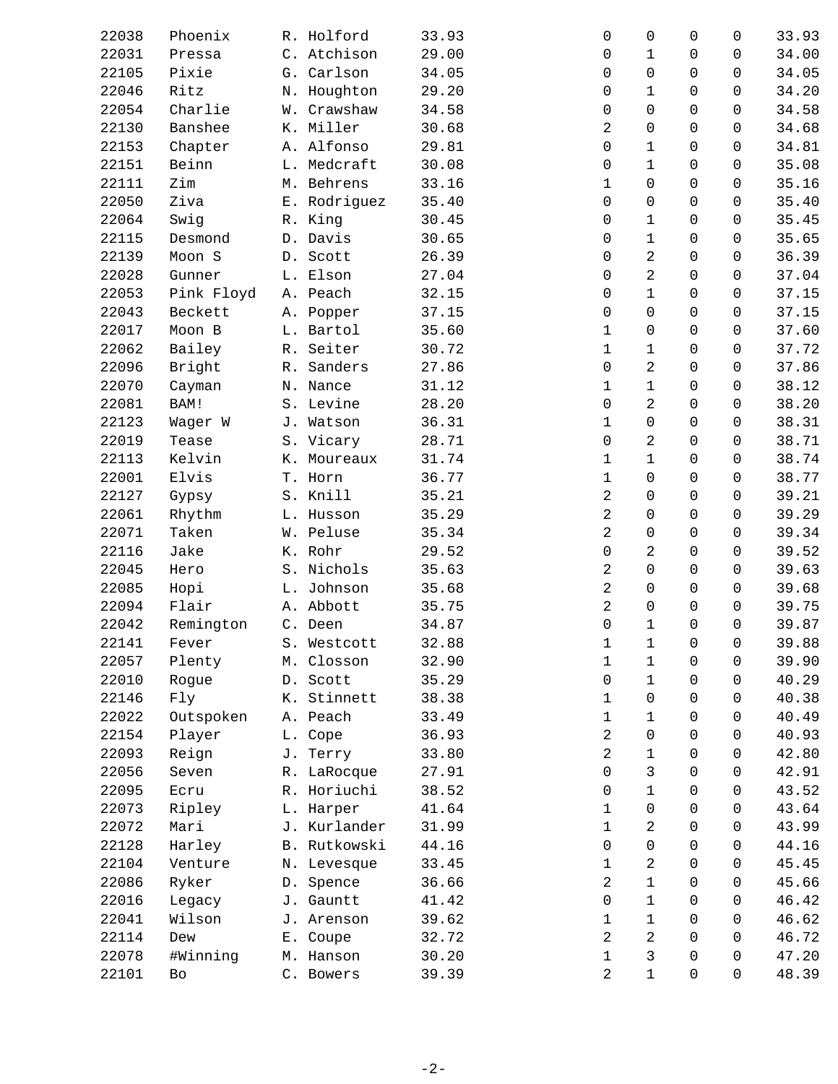| 22038 | Phoenix    | R. Holford   | 33.93 | 0              | 0              | $\mathbf 0$  | 0        | 33.93 |
|-------|------------|--------------|-------|----------------|----------------|--------------|----------|-------|
| 22031 | Pressa     | C. Atchison  | 29.00 | 0              | $\mathbf 1$    | 0            | 0        | 34.00 |
| 22105 | Pixie      | G. Carlson   | 34.05 | 0              | $\overline{0}$ | $\Omega$     | 0        | 34.05 |
| 22046 | Ritz       | N. Houghton  | 29.20 | 0              | $\mathbf 1$    | 0            | 0        | 34.20 |
| 22054 | Charlie    | W. Crawshaw  | 34.58 | 0              | $\overline{0}$ | 0            | 0        | 34.58 |
| 22130 | Banshee    | K. Miller    | 30.68 | 2              | $\overline{0}$ | 0            | 0        | 34.68 |
| 22153 | Chapter    | A. Alfonso   | 29.81 | 0              | 1              | $\Omega$     | 0        | 34.81 |
| 22151 | Beinn      | L. Medcraft  | 30.08 | 0              | $\mathbf 1$    | 0            | 0        | 35.08 |
| 22111 | Zim        | M. Behrens   | 33.16 | 1              | 0              | 0            | 0        | 35.16 |
| 22050 | Ziva       | E. Rodriguez | 35.40 | 0              | $\overline{0}$ | 0            | 0        | 35.40 |
| 22064 | Swig       | R. King      | 30.45 | 0              | 1              | $\Omega$     | 0        | 35.45 |
| 22115 | Desmond    | D. Davis     | 30.65 | 0              | $\mathbf 1$    | 0            | 0        | 35.65 |
| 22139 | Moon S     | D. Scott     | 26.39 | 0              | $\overline{a}$ | 0            | 0        | 36.39 |
| 22028 | Gunner     | L. Elson     | 27.04 | 0              | $\overline{a}$ | 0            | 0        | 37.04 |
| 22053 | Pink Floyd | A. Peach     | 32.15 | 0              | $\mathbf 1$    | 0            | 0        | 37.15 |
| 22043 | Beckett    | A. Popper    | 37.15 | $\mathbf 0$    | $\overline{0}$ | 0            | 0        | 37.15 |
| 22017 | Moon B     | L. Bartol    | 35.60 | $\mathbf 1$    | $\mathbf 0$    | 0            | 0        | 37.60 |
| 22062 | Bailey     | R. Seiter    | 30.72 | 1              | $\mathbf 1$    | 0            | 0        | 37.72 |
| 22096 | Bright     | R. Sanders   | 27.86 | 0              | 2              | $\Omega$     | 0        | 37.86 |
| 22070 | Cayman     | N. Nance     | 31.12 | 1              | 1              | 0            | 0        | 38.12 |
| 22081 | BAM!       | S. Levine    | 28.20 | 0              | 2              | 0            | 0        | 38.20 |
| 22123 | Wager W    | J. Watson    | 36.31 | 1              | 0              | 0            | 0        | 38.31 |
| 22019 | Tease      | S. Vicary    | 28.71 | 0              | 2              | 0            | 0        | 38.71 |
| 22113 | Kelvin     | K. Moureaux  | 31.74 | 1              | 1              | 0            | 0        | 38.74 |
| 22001 | Elvis      | T. Horn      | 36.77 | 1              | $\overline{0}$ | 0            | 0        | 38.77 |
| 22127 | Gypsy      | S. Knill     | 35.21 | 2              | $\mathbf 0$    | 0            | 0        | 39.21 |
| 22061 | Rhythm     | L. Husson    | 35.29 | $\overline{a}$ | $\overline{0}$ | 0            | 0        | 39.29 |
| 22071 | Taken      | W. Peluse    | 35.34 | 2              | 0              | 0            | 0        | 39.34 |
| 22116 | Jake       | K. Rohr      | 29.52 | 0              | 2              | 0            | 0        | 39.52 |
| 22045 | Hero       | S. Nichols   | 35.63 | 2              | 0              | 0            | 0        | 39.63 |
| 22085 | Hopi       | L. Johnson   | 35.68 | $\overline{c}$ | 0              | 0            | 0        | 39.68 |
| 22094 | Flair      | A. Abbott    | 35.75 | 2              | $\overline{0}$ | $\Omega$     | $\Omega$ | 39.75 |
| 22042 | Remington  | C. Deen      | 34.87 | 0              | $\mathbf 1$    | 0            | 0        | 39.87 |
| 22141 | Fever      | S. Westcott  | 32.88 | $\mathbf 1$    | $\mathbf{1}$   | $\mathsf{O}$ | 0        | 39.88 |
| 22057 | Plenty     | M. Closson   | 32.90 | 1              | 1              | 0            | 0        | 39.90 |
| 22010 | Rogue      | D. Scott     | 35.29 | 0              | $\mathbf 1$    | $\Omega$     | 0        | 40.29 |
| 22146 | Fly        | K. Stinnett  | 38.38 | 1              | $\overline{0}$ | $\Omega$     | 0        | 40.38 |
| 22022 | Outspoken  | A. Peach     | 33.49 | 1              | $\mathbf 1$    | 0            | 0        | 40.49 |
| 22154 | Player     | L. Cope      | 36.93 | 2              | 0              | $\Omega$     | 0        | 40.93 |
| 22093 | Reign      | J. Terry     | 33.80 | 2              | $\mathbf 1$    | 0            | 0        | 42.80 |
| 22056 | Seven      | R. LaRocque  | 27.91 | 0              | 3              | 0            | 0        | 42.91 |
| 22095 | Ecru       | R. Horiuchi  | 38.52 | 0              | $\mathbf 1$    | 0            | 0        | 43.52 |
| 22073 | Ripley     | L. Harper    | 41.64 | 1              | 0              | 0            | 0        | 43.64 |
| 22072 | Mari       | J. Kurlander | 31.99 | 1              | 2              | $\Omega$     | 0        | 43.99 |
| 22128 | Harley     | B. Rutkowski | 44.16 | 0              | 0              | 0            | 0        | 44.16 |
| 22104 | Venture    | N. Levesque  | 33.45 | 1              | 2              | $\mathbf 0$  | 0        | 45.45 |
| 22086 | Ryker      | D. Spence    | 36.66 | 2              | $\mathbf 1$    | 0            | 0        | 45.66 |
| 22016 | Legacy     | J. Gauntt    | 41.42 | 0              | $\mathbf 1$    | $\Omega$     | 0        | 46.42 |
| 22041 | Wilson     | J. Arenson   | 39.62 | 1              | 1              | 0            | $\Omega$ | 46.62 |
| 22114 | Dew        | E. Coupe     | 32.72 | 2              | 2              | $\mathbf 0$  | 0        | 46.72 |
| 22078 | #Winning   | M. Hanson    | 30.20 | $\mathbf 1$    | 3              | 0            | 0        | 47.20 |
| 22101 | Bo         | C. Bowers    | 39.39 | 2              | $\mathbf 1$    | 0            | 0        | 48.39 |
|       |            |              |       |                |                |              |          |       |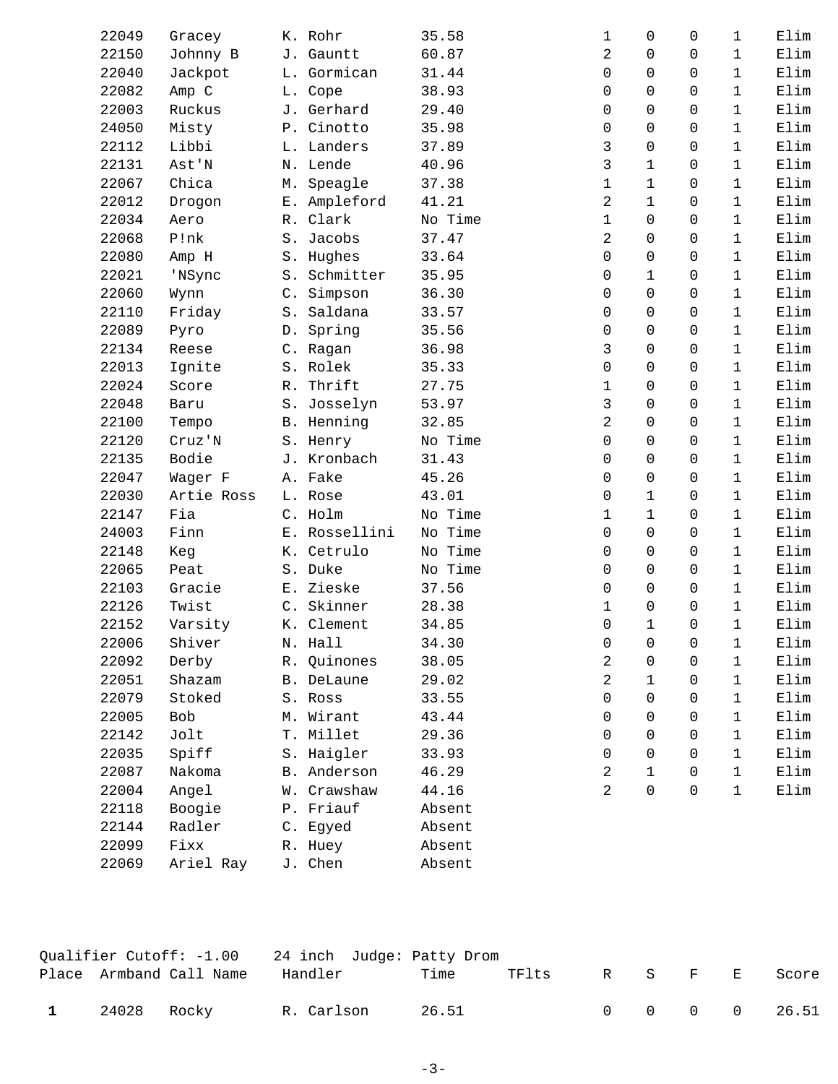| 22049 | Gracey     | K. Rohr       | 35.58   | 1              | 0              | 0           | $\mathbf 1$  | Elim |
|-------|------------|---------------|---------|----------------|----------------|-------------|--------------|------|
| 22150 | Johnny B   | J. Gauntt     | 60.87   | 2              | $\Omega$       | $\Omega$    | $\mathbf{1}$ | Elim |
| 22040 | Jackpot    | L. Gormican   | 31.44   | 0              | $\Omega$       | $\Omega$    | $\mathbf{1}$ | Elim |
| 22082 | Amp C      | L. Cope       | 38.93   | 0              | $\Omega$       | $\mathbf 0$ | $\mathbf{1}$ | Elim |
| 22003 | Ruckus     | J. Gerhard    | 29.40   | 0              | $\Omega$       | $\Omega$    | $\mathbf{1}$ | Elim |
| 24050 | Misty      | P. Cinotto    | 35.98   | $\Omega$       | $\Omega$       | 0           | $\mathbf{1}$ | Elim |
| 22112 | Libbi      | L. Landers    | 37.89   | 3              | $\Omega$       | $\Omega$    | $\mathbf{1}$ | Elim |
| 22131 | Ast'N      | N. Lende      | 40.96   | 3              | $\mathbf{1}$   | $\mathbf 0$ | $\mathbf{1}$ | Elim |
| 22067 | Chica      | M. Speagle    | 37.38   | $\mathbf 1$    | $\mathbf{1}$   | $\Omega$    | $\mathbf{1}$ | Elim |
| 22012 | Drogon     | E. Ampleford  | 41.21   | $\overline{2}$ | $\mathbf{1}$   | $\Omega$    | $\mathbf{1}$ | Elim |
| 22034 | Aero       | R. Clark      | No Time | $\mathbf 1$    | $\Omega$       | $\Omega$    | $\mathbf{1}$ | Elim |
| 22068 | P!nk       | S. Jacobs     | 37.47   | 2              | $\Omega$       | 0           | $\mathbf{1}$ | Elim |
| 22080 | Amp H      | S. Hughes     | 33.64   | 0              | 0              | $\mathbf 0$ | $\mathbf 1$  | Elim |
| 22021 | 'NSync     | S. Schmitter  | 35.95   | 0              | $\mathbf{1}$   | 0           | $\mathbf{1}$ | Elim |
| 22060 | Wynn       | C. Simpson    | 36.30   | $\Omega$       | $\Omega$       | 0           | $\mathbf{1}$ | Elim |
| 22110 | Friday     | S. Saldana    | 33.57   | $\Omega$       | 0              | $\mathbf 0$ | $\mathbf{1}$ | Elim |
| 22089 | Pyro       | D. Spring     | 35.56   | 0              | 0              | $\mathbf 0$ | $\mathbf{1}$ | Elim |
| 22134 | Reese      | C. Ragan      | 36.98   | 3              | $\Omega$       | $\Omega$    | $\mathbf{1}$ | Elim |
| 22013 | Ignite     | S. Rolek      | 35.33   | $\Omega$       | $\Omega$       | $\Omega$    | $\mathbf{1}$ | Elim |
| 22024 | Score      | R. Thrift     | 27.75   | 1              | $\Omega$       | $\Omega$    | $\mathbf{1}$ | Elim |
| 22048 | Baru       | S. Josselyn   | 53.97   | 3              | $\Omega$       | $\mathbf 0$ | $\mathbf 1$  | Elim |
| 22100 | Tempo      | B. Henning    | 32.85   | 2              | $\Omega$       | $\mathbf 0$ | $\mathbf{1}$ | Elim |
| 22120 | Cruz'N     | S. Henry      | No Time | $\Omega$       | $\Omega$       | 0           | $\mathbf{1}$ | Elim |
| 22135 | Bodie      | J. Kronbach   | 31.43   | 0              | $\Omega$       | $\Omega$    | $\mathbf{1}$ | Elim |
| 22047 | Wager F    | A. Fake       | 45.26   | 0              | 0              | $\mathbf 0$ | $\mathbf{1}$ | Elim |
| 22030 | Artie Ross | L. Rose       | 43.01   | 0              | $\mathbf 1$    | $\Omega$    | $\mathbf{1}$ | Elim |
| 22147 | Fia        | C. Holm       | No Time | $\mathbf 1$    | $\mathbf{1}$   | 0           | $\mathbf{1}$ | Elim |
| 24003 | Finn       | E. Rossellini | No Time | $\Omega$       | $\Omega$       | $\Omega$    | $\mathbf{1}$ | Elim |
| 22148 | Keg        | K. Cetrulo    | No Time | 0              | 0              | $\mathbf 0$ | $\mathbf{1}$ | Elim |
| 22065 | Peat       | S. Duke       | No Time | 0              | $\Omega$       | $\Omega$    | $\mathbf{1}$ | Elim |
| 22103 | Gracie     | E. Zieske     | 37.56   | 0              | $\Omega$       | 0           | $\mathbf{1}$ | Elim |
| 22126 | Twist      | C. Skinner    | 28.38   | 1              | $\Omega$       | $\Omega$    | $\mathbf{1}$ | Elim |
| 22152 | Varsity    | K. Clement    | 34.85   | 0              | $\mathbf{1}$   | 0           | $\mathbf{1}$ | Elim |
| 22006 | Shiver     | N. Hall       | 34.30   | $\mathsf{O}$   | $\overline{0}$ | $\mathbf 0$ | $\mathbf 1$  | Elim |
| 22092 | Derby      | R. Quinones   | 38.05   | 2              | 0              | 0           | $\mathbf{1}$ | Elim |
| 22051 | Shazam     | B. DeLaune    | 29.02   | 2              | $\mathbf{1}$   | 0           | $\mathbf{1}$ | Elim |
| 22079 | Stoked     | S. Ross       | 33.55   | 0              | $\Omega$       | 0           | $\mathbf{1}$ | Elim |
| 22005 | Bob        | M. Wirant     | 43.44   | 0              | 0              | 0           | $\mathbf{1}$ | Elim |
| 22142 | Jolt       | T. Millet     | 29.36   | 0              | $\Omega$       | 0           | $\mathbf{1}$ | Elim |
| 22035 | Spiff      | S. Haigler    | 33.93   | 0              | $\Omega$       | 0           | $\mathbf{1}$ | Elim |
| 22087 | Nakoma     | B. Anderson   | 46.29   | 2              | $\mathbf{1}$   | 0           | $\mathbf{1}$ | Elim |
| 22004 | Angel      | W. Crawshaw   | 44.16   | 2              | 0              | $\mathbf 0$ | $\mathbf 1$  | Elim |
| 22118 | Boogie     | P. Friauf     | Absent  |                |                |             |              |      |
| 22144 | Radler     | C. Egyed      | Absent  |                |                |             |              |      |
| 22099 | Fixx       | R. Huey       | Absent  |                |                |             |              |      |
| 22069 | Ariel Ray  | J. Chen       | Absent  |                |                |             |              |      |
|       |            |               |         |                |                |             |              |      |

|              |             | Qualifier Cutoff: -1.00  24 inch Judge: Patty Drom |            |       |       |  |         |               |
|--------------|-------------|----------------------------------------------------|------------|-------|-------|--|---------|---------------|
|              |             | Place Armband Call Name                            | Handler    | Time  | TFlts |  | R S F E | Score         |
| $\mathbf{1}$ | 24028 Rocky |                                                    | R. Carlson | 26.51 |       |  |         | 0 0 0 0 26.51 |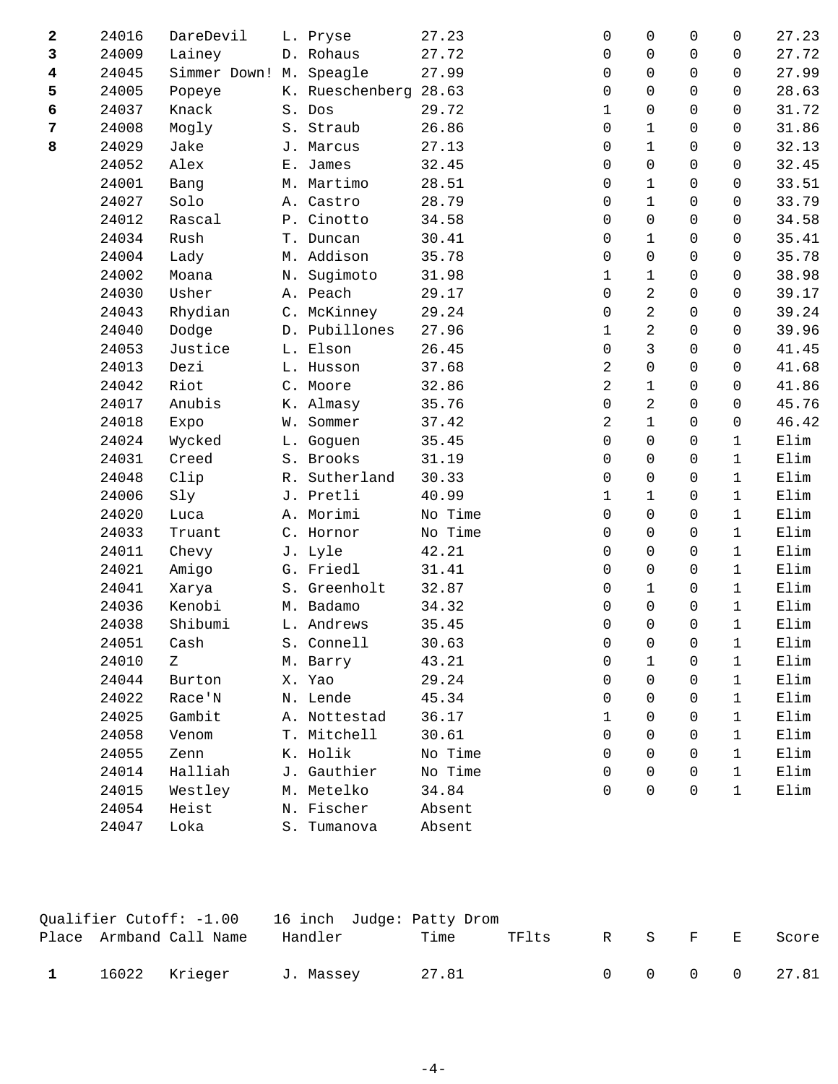| 2 | 24016 | DareDevil               |       | L. Pryse              | 27.23   | 0            | $\Omega$       | $\Omega$    | 0            | 27.23 |
|---|-------|-------------------------|-------|-----------------------|---------|--------------|----------------|-------------|--------------|-------|
| 3 | 24009 | Lainey                  |       | D. Rohaus             | 27.72   | 0            | $\mathbf 0$    | $\Omega$    | 0            | 27.72 |
| 4 | 24045 | Simmer Down! M. Speagle |       |                       | 27.99   | 0            | $\mathbf 0$    | $\mathbf 0$ | 0            | 27.99 |
| 5 | 24005 | Popeye                  |       | K. Rueschenberg 28.63 |         | 0            | $\Omega$       | $\Omega$    | 0            | 28.63 |
| 6 | 24037 | Knack                   |       | S. Dos                | 29.72   | 1            | $\mathbf 0$    | $\Omega$    | 0            | 31.72 |
| 7 | 24008 | Mogly                   |       | S. Straub             | 26.86   | $\Omega$     | $\mathbf 1$    | $\Omega$    | 0            | 31.86 |
| 8 | 24029 | Jake                    |       | J. Marcus             | 27.13   | 0            | $\mathbf{1}$   | $\mathbf 0$ | 0            | 32.13 |
|   | 24052 | Alex                    | $E$ . | James                 | 32.45   | 0            | $\mathbf 0$    | $\mathbf 0$ | 0            | 32.45 |
|   | 24001 | Bang                    |       | M. Martimo            | 28.51   | $\Omega$     | $\mathbf{1}$   | $\Omega$    | 0            | 33.51 |
|   | 24027 | Solo                    |       | A. Castro             | 28.79   | 0            | $\mathbf 1$    | $\Omega$    | 0            | 33.79 |
|   | 24012 | Rascal                  |       | P. Cinotto            | 34.58   | 0            | $\mathbf 0$    | $\mathbf 0$ | 0            | 34.58 |
|   | 24034 | Rush                    |       | T. Duncan             | 30.41   | 0            | $\mathbf 1$    | $\mathbf 0$ | 0            | 35.41 |
|   | 24004 | Lady                    |       | M. Addison            | 35.78   | $\Omega$     | $\mathbf 0$    | $\Omega$    | 0            | 35.78 |
|   | 24002 | Moana                   | Ν.    | Sugimoto              | 31.98   | $\mathbf{1}$ | $\mathbf{1}$   | $\Omega$    | 0            | 38.98 |
|   | 24030 | Usher                   |       | A. Peach              | 29.17   | 0            | 2              | $\mathbf 0$ | 0            | 39.17 |
|   | 24043 | Rhydian                 |       | C. McKinney           | 29.24   | 0            | 2              | $\mathbf 0$ | 0            | 39.24 |
|   | 24040 | Dodge                   |       | D. Pubillones         | 27.96   | $\mathbf{1}$ | $\overline{2}$ | $\Omega$    | $\Omega$     | 39.96 |
|   | 24053 | Justice                 |       | L. Elson              | 26.45   | $\Omega$     | 3              | $\Omega$    | $\Omega$     | 41.45 |
|   | 24013 | Dezi                    |       | L. Husson             | 37.68   | 2            | $\mathbf 0$    | $\mathbf 0$ | 0            | 41.68 |
|   | 24042 | Riot                    |       | C. Moore              | 32.86   | 2            | $\mathbf 1$    | $\mathbf 0$ | 0            | 41.86 |
|   | 24017 | Anubis                  |       | K. Almasy             | 35.76   | 0            | 2              | $\Omega$    | $\Omega$     | 45.76 |
|   | 24018 | Expo                    | W.    | Sommer                | 37.42   | 2            | 1              | $\Omega$    | 0            | 46.42 |
|   | 24024 | Wycked                  |       | L. Goguen             | 35.45   | 0            | $\mathbf 0$    | $\mathbf 0$ | $\mathbf{1}$ | Elim  |
|   | 24031 | Creed                   |       | S. Brooks             | 31.19   | 0            | $\mathbf 0$    | $\mathbf 0$ | $\mathbf{1}$ | Elim  |
|   | 24048 | Clip                    |       | R. Sutherland         | 30.33   | $\Omega$     | $\mathbf 0$    | $\Omega$    | $\mathbf{1}$ | Elim  |
|   | 24006 | Sly                     |       | J. Pretli             | 40.99   | 1            | $\mathbf{1}$   | $\Omega$    | $\mathbf{1}$ | Elim  |
|   | 24020 | Luca                    |       | A. Morimi             | No Time | $\Omega$     | $\mathbf 0$    | $\Omega$    | $\mathbf{1}$ | Elim  |
|   | 24033 | Truant                  |       | C. Hornor             | No Time | 0            | $\mathbf 0$    | $\mathbf 0$ | $\mathbf 1$  | Elim  |
|   | 24011 | Chevy                   |       | J. Lyle               | 42.21   | $\Omega$     | $\mathbf 0$    | $\Omega$    | 1            | Elim  |
|   | 24021 | Amigo                   |       | G. Friedl             | 31.41   | $\Omega$     | $\mathbf 0$    | $\Omega$    | $\mathbf 1$  | Elim  |
|   | 24041 | Xarya                   |       | S. Greenholt          | 32.87   | 0            | $\mathbf{1}$   | $\Omega$    | $\mathbf{1}$ | Elim  |
|   | 24036 | Kenobi                  |       | M. Badamo             | 34.32   | 0            | $\mathsf 0$    | $\mathbf 0$ | $\mathbf{1}$ | Elim  |
|   | 24038 | Shibumi                 |       | L. Andrews            | 35.45   | $\mathbf 0$  | $\mathbf 0$    | $\Omega$    | $\mathbf{1}$ | Elim  |
|   | 24051 | Cash                    |       | S. Connell            | 30.63   | 0            | 0              | 0           | 1            | Elim  |
|   | 24010 | Ζ                       |       | M. Barry              | 43.21   | 0            | 1              | 0           | 1            | Elim  |
|   | 24044 | Burton                  |       | X. Yao                | 29.24   | 0            | $\mathbf 0$    | 0           | 1            | Elim  |
|   | 24022 | Race'N                  |       | N. Lende              | 45.34   | 0            | 0              | 0           | 1            | Elim  |
|   | 24025 | Gambit                  |       | A. Nottestad          | 36.17   | 1            | $\Omega$       | 0           | 1            | Elim  |
|   | 24058 | Venom                   |       | T. Mitchell           | 30.61   | $\Omega$     | $\Omega$       | 0           | 1            | Elim  |
|   | 24055 | Zenn                    |       | K. Holik              | No Time | 0            | $\mathbf 0$    | 0           | $\mathbf 1$  | Elim  |
|   | 24014 | Halliah                 |       | J. Gauthier           | No Time | 0            | 0              | 0           | 1            | Elim  |
|   | 24015 | Westley                 |       | M. Metelko            | 34.84   | $\Omega$     | $\mathbf 0$    | $\Omega$    | 1            | Elim  |
|   | 24054 | Heist                   |       | N. Fischer            | Absent  |              |                |             |              |       |
|   | 24047 | Loka                    |       | S. Tumanova           | Absent  |              |                |             |              |       |
|   |       |                         |       |                       |         |              |                |             |              |       |

|  |                         | Qualifier Cutoff: -1.00 16 inch Judge: Patty Drom |       |       |  |         |               |
|--|-------------------------|---------------------------------------------------|-------|-------|--|---------|---------------|
|  | Place Armband Call Name | Handler                                           | Time  | TFlts |  | R S F E | Score         |
|  | 16022 Krieger           | J. Massey                                         | 27.81 |       |  |         | 0 0 0 0 27.81 |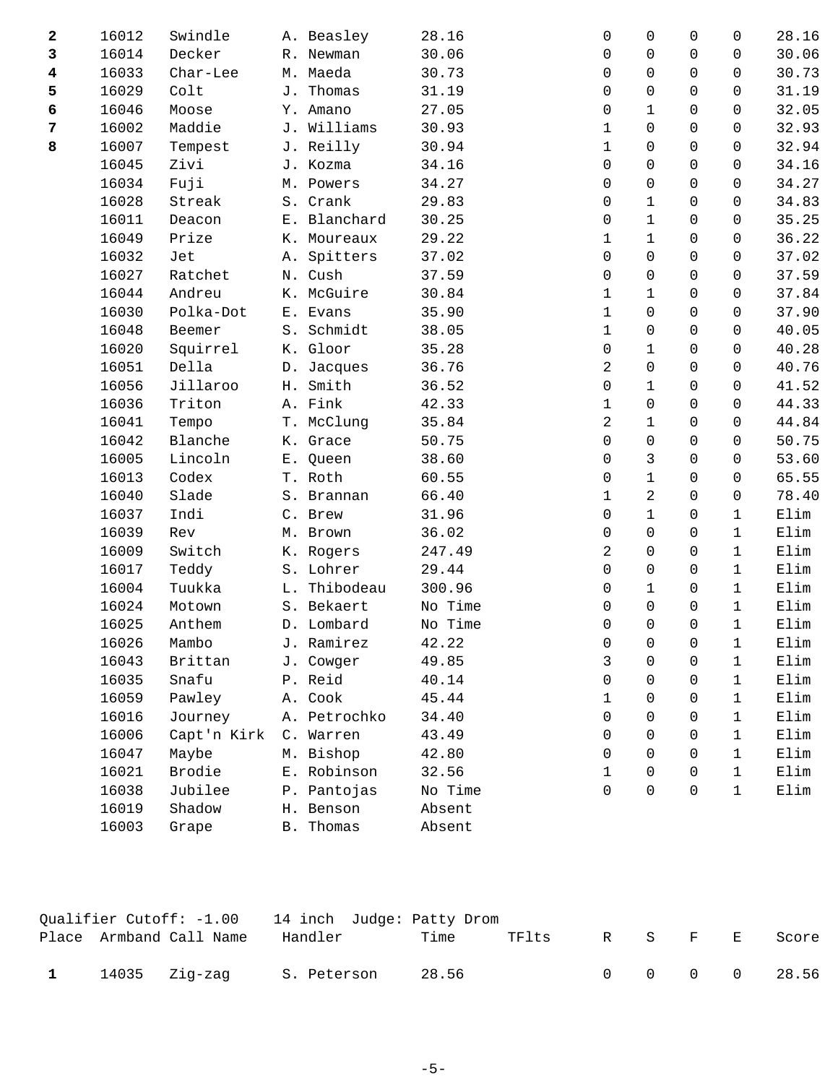| 2              | 16012 | Swindle     |    | A. Beasley       | 28.16   | 0              | 0                   | 0            | 0            | 28.16           |
|----------------|-------|-------------|----|------------------|---------|----------------|---------------------|--------------|--------------|-----------------|
| 3              | 16014 | Decker      |    | R. Newman        | 30.06   | 0              | 0                   | $\mathbf 0$  | $\mathbf 0$  | 30.06           |
| 4              | 16033 | Char-Lee    |    | M. Maeda         | 30.73   | 0              | 0                   | $\mathbf 0$  | $\mathbf 0$  | 30.73           |
| 5              | 16029 | Colt        |    | J. Thomas        | 31.19   | 0              | 0                   | $\mathbf 0$  | 0            | 31.19           |
| 6              | 16046 | Moose       |    | Y. Amano         | 27.05   | 0              | 1                   | 0            | 0            | 32.05           |
| $\overline{7}$ | 16002 | Maddie      |    | J. Williams      | 30.93   | 1              | 0                   | 0            | 0            | 32.93           |
| 8              | 16007 | Tempest     |    | J. Reilly        | 30.94   | $\mathbf 1$    | $\mathsf{O}\xspace$ | 0            | $\mathbf 0$  | 32.94           |
|                | 16045 | Zivi        |    | J. Kozma         | 34.16   | 0              | 0                   | $\mathsf{O}$ | $\mathbf 0$  | 34.16           |
|                | 16034 | Fuji        |    | M. Powers        | 34.27   | 0              | 0                   | $\mathsf{O}$ | $\Omega$     | 34.27           |
|                | 16028 | Streak      |    | S. Crank         | 29.83   | 0              | $\mathbf 1$         | $\Omega$     | $\Omega$     | 34.83           |
|                | 16011 | Deacon      |    | E. Blanchard     | 30.25   | 0              | $\mathbf{1}$        | 0            | $\mathbf 0$  | 35.25           |
|                | 16049 | Prize       |    | K. Moureaux      | 29.22   | $\mathbf 1$    | $\mathbf 1$         | $\mathsf{O}$ | $\mathbf 0$  | 36.22           |
|                | 16032 | Jet         | Α. | Spitters         | 37.02   | 0              | 0                   | $\mathbf 0$  | 0            | 37.02           |
|                | 16027 | Ratchet     |    | N. Cush          | 37.59   | 0              | 0                   | $\mathbf 0$  | $\mathbf 0$  | 37.59           |
|                | 16044 | Andreu      |    | K. McGuire       | 30.84   | $\mathbf 1$    | $\mathbf 1$         | 0            | $\mathbf 0$  | 37.84           |
|                | 16030 | Polka-Dot   |    | E. Evans         | 35.90   | $\mathbf 1$    | 0                   | $\mathsf{O}$ | $\mathbf 0$  | 37.90           |
|                | 16048 | Beemer      |    | S. Schmidt       | 38.05   | $\mathbf 1$    | 0                   | $\mathsf{O}$ | $\Omega$     | 40.05           |
|                | 16020 | Squirrel    |    | K. Gloor         | 35.28   | 0              | 1                   | $\mathsf{O}$ | $\Omega$     | 40.28           |
|                | 16051 | Della       |    | D. Jacques       | 36.76   | $\overline{2}$ | 0                   | 0            | 0            | 40.76           |
|                | 16056 | Jillaroo    | Η. | Smith            | 36.52   | 0              | $\mathbf 1$         | $\mathsf{O}$ | $\mathbf 0$  | 41.52           |
|                | 16036 | Triton      |    | A. Fink          | 42.33   | $\mathbf 1$    | 0                   | $\mathbf 0$  | 0            | 44.33           |
|                | 16041 | Tempo       |    | T. McClung       | 35.84   | 2              | $\mathbf 1$         | $\mathbf 0$  | 0            | 44.84           |
|                | 16042 | Blanche     |    | K. Grace         | 50.75   | $\mathbf 0$    | 0                   | 0            | $\mathbf 0$  | 50.75           |
|                | 16005 | Lincoln     |    | E. Queen         | 38.60   | $\mathbf 0$    | 3                   | $\mathsf{O}$ | $\mathbf 0$  | 53.60           |
|                | 16013 | Codex       |    | T. Roth          | 60.55   | 0              | $\mathbf 1$         | $\mathbf 0$  | 0            | 65.55           |
|                | 16040 | Slade       |    | S. Brannan       | 66.40   | 1              | 2                   | $\Omega$     | 0            | 78.40           |
|                | 16037 | Indi        |    | C. Brew          | 31.96   | 0              | $\mathbf 1$         | $\mathbf 0$  | $\mathbf{1}$ | Elim            |
|                | 16039 | Rev         |    | M. Brown         | 36.02   | 0              | 0                   | 0            | $\mathbf{1}$ | Elim            |
|                | 16009 | Switch      |    | K. Rogers        | 247.49  | 2              | 0                   | $\mathbf 0$  | $\mathbf{1}$ | Elim            |
|                | 16017 | Teddy       |    | S. Lohrer        | 29.44   | $\mathbf 0$    | 0                   | 0            | $\mathbf{1}$ | Elim            |
|                | 16004 | Tuukka      |    | L. Thibodeau     | 300.96  | 0              | $\mathbf 1$         | $\mathbf 0$  | $\mathbf{1}$ | Elim            |
|                | 16024 | Motown      |    | S. Bekaert       | No Time | 0              | $\mathsf{O}\xspace$ | $\mathbf 0$  | $\mathbf{1}$ | $\texttt{Elim}$ |
|                | 16025 | Anthem      |    | D. Lombard       | No Time | 0              | 0                   | $\mathbf 0$  | $\mathbf 1$  | Elim            |
|                | 16026 | Mambo       |    | J. Ramirez       | 42.22   | 0              | 0                   | 0            | 1            | Elim            |
|                | 16043 | Brittan     |    | J. Cowger        | 49.85   | 3              | $\Omega$            | $\Omega$     | 1            | Elim            |
|                | 16035 | Snafu       |    | P. Reid          | 40.14   | $\mathbf 0$    | $\Omega$            | $\mathbf 0$  | $\mathbf 1$  | Elim            |
|                | 16059 | Pawley      |    | A. Cook          | 45.44   | $\mathbf{1}$   | $\Omega$            | $\Omega$     | 1            | Elim            |
|                | 16016 | Journey     |    | A. Petrochko     | 34.40   | 0              | $\Omega$            | 0            | $\mathbf{1}$ | Elim            |
|                | 16006 | Capt'n Kirk |    | C. Warren        | 43.49   | $\Omega$       | $\Omega$            | $\Omega$     | $\mathbf{1}$ | Elim            |
|                | 16047 | Maybe       |    | M. Bishop        | 42.80   | 0              | $\Omega$            | $\Omega$     | $\mathbf{1}$ | Elim            |
|                | 16021 | Brodie      |    | E. Robinson      | 32.56   | $\mathbf{1}$   | 0                   | $\mathbf 0$  | $\mathbf{1}$ | Elim            |
|                | 16038 | Jubilee     |    | P. Pantojas      | No Time | $\mathbf 0$    | $\Omega$            | $\Omega$     | $\mathbf{1}$ | Elim            |
|                | 16019 | Shadow      |    | H. Benson        | Absent  |                |                     |              |              |                 |
|                | 16003 | Grape       |    | <b>B.</b> Thomas | Absent  |                |                     |              |              |                 |
|                |       |             |    |                  |         |                |                     |              |              |                 |

|  |                           | Oualifier Cutoff: -1.00 14 inch Judge: Patty Drom |       |       |  |         |               |
|--|---------------------------|---------------------------------------------------|-------|-------|--|---------|---------------|
|  | Place Armband Call Name   | Handler                                           | Time  | TFlts |  | R S F E | Score         |
|  | $1$ $14035$ $21q$ - $2aq$ | S. Peterson                                       | 28.56 |       |  |         | 0 0 0 0 28.56 |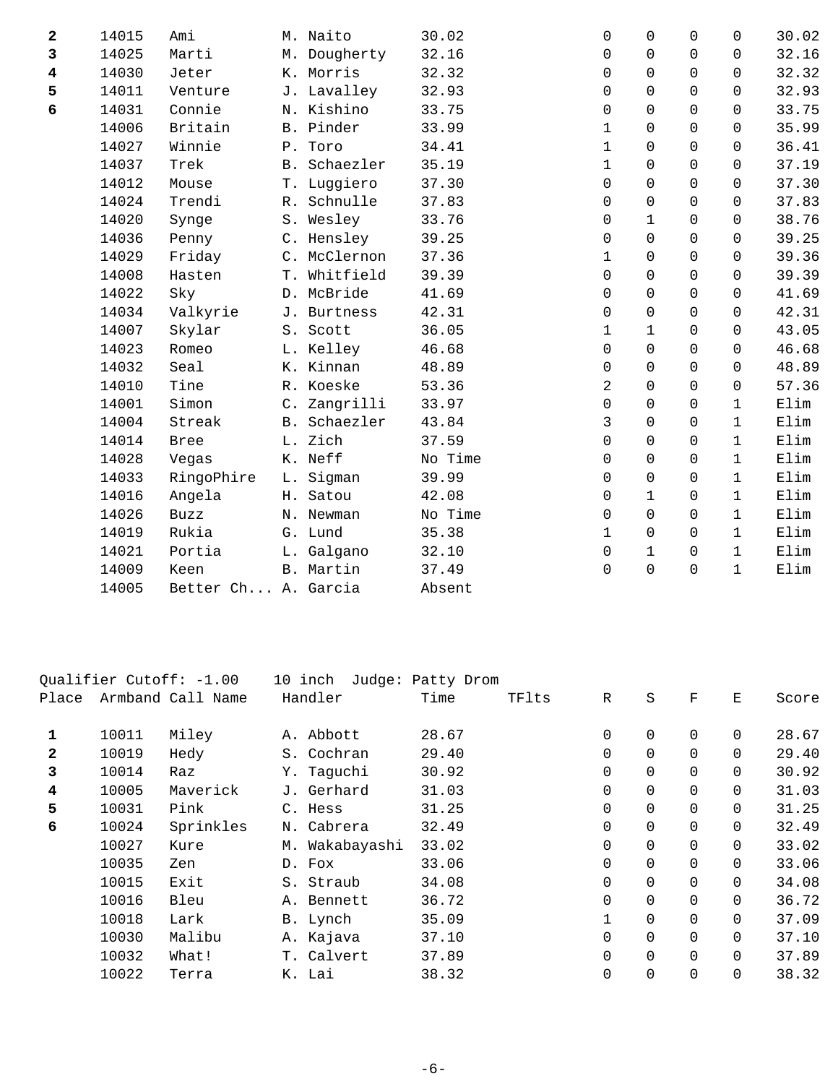| $\overline{\mathbf{2}}$ | 14015 | Ami                 | M. Naito     | 30.02   | 0            | $\mathbf 0$  | $\mathsf{O}$ | $\mathbf 0$  | 30.02           |
|-------------------------|-------|---------------------|--------------|---------|--------------|--------------|--------------|--------------|-----------------|
| 3                       | 14025 | Marti               | M. Dougherty | 32.16   | $\Omega$     | $\Omega$     | $\Omega$     | $\Omega$     | 32.16           |
| $\overline{\mathbf{4}}$ | 14030 | Jeter               | K. Morris    | 32.32   | $\Omega$     | $\Omega$     | $\Omega$     | $\Omega$     | 32.32           |
| 5                       | 14011 | Venture             | J. Lavalley  | 32.93   | $\mathbf 0$  | 0            | $\mathbf 0$  | $\Omega$     | 32.93           |
| 6                       | 14031 | Connie              | N. Kishino   | 33.75   | $\mathbf 0$  | $\Omega$     | $\Omega$     | $\Omega$     | 33.75           |
|                         | 14006 | Britain             | B. Pinder    | 33.99   | $\mathbf{1}$ | $\Omega$     | $\mathbf 0$  | $\Omega$     | 35.99           |
|                         | 14027 | Winnie              | P. Toro      | 34.41   | $\mathbf 1$  | $\Omega$     | $\mathbf 0$  | $\Omega$     | 36.41           |
|                         | 14037 | Trek                | B. Schaezler | 35.19   | $\mathbf 1$  | $\Omega$     | $\Omega$     | $\Omega$     | 37.19           |
|                         | 14012 | Mouse               | T. Luggiero  | 37.30   | 0            | $\Omega$     | $\mathbf 0$  | $\Omega$     | 37.30           |
|                         | 14024 | Trendi              | R. Schnulle  | 37.83   | $\mathbf 0$  | 0            | $\mathbf 0$  | $\Omega$     | 37.83           |
|                         | 14020 | Synge               | S. Wesley    | 33.76   | 0            | $\mathbf{1}$ | $\Omega$     | $\Omega$     | 38.76           |
|                         | 14036 | Penny               | C. Hensley   | 39.25   | $\mathbf 0$  | $\Omega$     | $\Omega$     | $\Omega$     | 39.25           |
|                         | 14029 | Friday              | C. McClernon | 37.36   | $\mathbf 1$  | $\Omega$     | $\Omega$     | $\Omega$     | 39.36           |
|                         | 14008 | Hasten              | T. Whitfield | 39.39   | $\mathbf 0$  | $\Omega$     | $\Omega$     | $\Omega$     | 39.39           |
|                         | 14022 | Sky                 | D. McBride   | 41.69   | $\Omega$     | $\Omega$     | $\Omega$     | $\Omega$     | 41.69           |
|                         | 14034 | Valkyrie            | J. Burtness  | 42.31   | $\mathsf 0$  | 0            | $\mathsf{O}$ | $\Omega$     | 42.31           |
|                         | 14007 | Skylar              | S. Scott     | 36.05   | $\mathbf{1}$ | $\mathbf{1}$ | $\Omega$     | $\Omega$     | 43.05           |
|                         | 14023 | Romeo               | L. Kelley    | 46.68   | $\Omega$     | $\Omega$     | $\Omega$     | $\Omega$     | 46.68           |
|                         | 14032 | Seal                | K. Kinnan    | 48.89   | $\mathbf 0$  | 0            | $\mathbf 0$  | $\Omega$     | 48.89           |
|                         | 14010 | Tine                | R. Koeske    | 53.36   | 2            | $\Omega$     | $\Omega$     | $\Omega$     | 57.36           |
|                         | 14001 | Simon               | C. Zangrilli | 33.97   | 0            | $\Omega$     | $\mathbf 0$  | $\mathbf{1}$ | Elim            |
|                         | 14004 | Streak              | B. Schaezler | 43.84   | 3            | 0            | $\mathbf 0$  | $\mathbf{1}$ | Elim            |
|                         | 14014 | <b>Bree</b>         | L. Zich      | 37.59   | $\mathbf 0$  | 0            | $\Omega$     | $\mathbf{1}$ | Elim            |
|                         | 14028 | Vegas               | K. Neff      | No Time | $\Omega$     | $\Omega$     | $\Omega$     | $\mathbf{1}$ | Elim            |
|                         | 14033 | RingoPhire          | L. Sigman    | 39.99   | 0            | 0            | $\Omega$     | $\mathbf{1}$ | Elim            |
|                         | 14016 | Angela              | H. Satou     | 42.08   | $\mathbf 0$  | $\mathbf{1}$ | $\Omega$     | $\mathbf{1}$ | $\texttt{Elim}$ |
|                         | 14026 | Buzz                | N. Newman    | No Time | $\Omega$     | $\Omega$     | $\Omega$     | $\mathbf{1}$ | Elim            |
|                         | 14019 | Rukia               | G. Lund      | 35.38   | $\mathbf{1}$ | 0            | $\mathsf{O}$ | $\mathbf{1}$ | Elim            |
|                         | 14021 | Portia              | L. Galgano   | 32.10   | $\mathbf 0$  | $\mathbf{1}$ | $\Omega$     | $\mathbf{1}$ | Elim            |
|                         | 14009 | Keen                | B. Martin    | 37.49   | $\mathbf 0$  | $\Omega$     | $\Omega$     | $\mathbf{1}$ | Elim            |
|                         | 14005 | Better Ch A. Garcia |              | Absent  |              |              |              |              |                 |

|                         |       | Qualifier Cutoff: -1.00 | 10 inch        | Judge: Patty Drom |       |             |                |             |          |       |
|-------------------------|-------|-------------------------|----------------|-------------------|-------|-------------|----------------|-------------|----------|-------|
| Place                   |       | Armband Call Name       | Handler        | Time              | TFlts | R           | $\rm S$        | $\mathbf F$ | Ε        | Score |
|                         |       |                         |                |                   |       |             |                |             |          |       |
| 1                       | 10011 | Miley                   | A. Abbott      | 28.67             |       | 0           | $\mathbf 0$    | $\Omega$    | $\Omega$ | 28.67 |
| $\mathbf{2}$            | 10019 | Hedy                    | S. Cochran     | 29.40             |       | $\mathbf 0$ | $\mathbf 0$    | 0           | 0        | 29.40 |
| 3                       | 10014 | Raz                     | Y. Taguchi     | 30.92             |       | 0           | 0              | 0           | 0        | 30.92 |
| $\overline{\mathbf{4}}$ | 10005 | Maverick                | J. Gerhard     | 31.03             |       | $\mathbf 0$ | $\mathbf 0$    | $\Omega$    | $\Omega$ | 31.03 |
| 5                       | 10031 | Pink                    | C. Hess        | 31.25             |       | 0           | $\mathbf 0$    | 0           | $\Omega$ | 31.25 |
| 6                       | 10024 | Sprinkles               | N. Cabrera     | 32.49             |       | $\mathbf 0$ | $\mathbf 0$    | $\Omega$    | $\Omega$ | 32.49 |
|                         | 10027 | Kure                    | M. Wakabayashi | 33.02             |       | 0           | 0              | 0           | 0        | 33.02 |
|                         | 10035 | Zen                     | D. Fox         | 33.06             |       | 0           | $\overline{0}$ | 0           | $\Omega$ | 33.06 |
|                         | 10015 | Exit                    | S. Straub      | 34.08             |       | $\mathbf 0$ | $\Omega$       | $\Omega$    | $\Omega$ | 34.08 |
|                         | 10016 | Bleu                    | A. Bennett     | 36.72             |       | $\mathbf 0$ | $\Omega$       | $\Omega$    | $\Omega$ | 36.72 |
|                         | 10018 | Lark                    | B. Lynch       | 35.09             |       | 1           | 0              | 0           | $\Omega$ | 37.09 |
|                         | 10030 | Malibu                  | A. Kajava      | 37.10             |       | 0           | $\overline{0}$ | $\mathbf 0$ | 0        | 37.10 |
|                         | 10032 | What!                   | T. Calvert     | 37.89             |       | $\mathbf 0$ | $\overline{0}$ | $\Omega$    | $\Omega$ | 37.89 |
|                         | 10022 | Terra                   | K. Lai         | 38.32             |       | $\mathbf 0$ | $\mathbf 0$    | $\Omega$    | 0        | 38.32 |
|                         |       |                         |                |                   |       |             |                |             |          |       |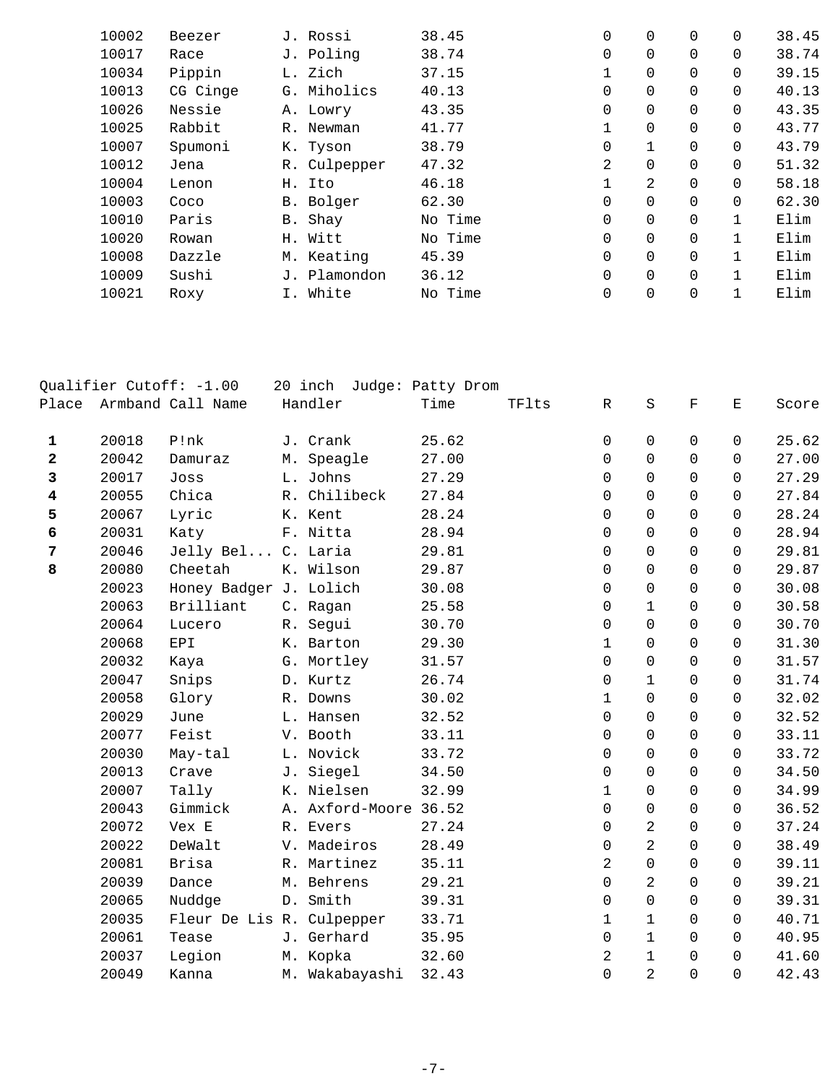| 10002 | Beezer   | J. Rossi     | 38.45   | 0           | 0              | $\Omega$       | $\Omega$ | 38.45 |
|-------|----------|--------------|---------|-------------|----------------|----------------|----------|-------|
| 10017 | Race     | J. Poling    | 38.74   | 0           | $\mathbf 0$    | 0              | $\Omega$ | 38.74 |
| 10034 | Pippin   | L. Zich      | 37.15   | 1           | $\overline{0}$ | $\Omega$       | $\Omega$ | 39.15 |
| 10013 | CG Cinge | G. Miholics  | 40.13   | 0           | $\mathbf 0$    | 0              | $\Omega$ | 40.13 |
| 10026 | Nessie   | A. Lowry     | 43.35   | $\mathbf 0$ | $\Omega$       | $\Omega$       | $\Omega$ | 43.35 |
| 10025 | Rabbit   | R. Newman    | 41.77   | 1           | $\overline{0}$ | $\mathbf 0$    | 0        | 43.77 |
| 10007 | Spumoni  | K. Tyson     | 38.79   | $\Omega$    | $\mathbf{1}$   | $\Omega$       | $\Omega$ | 43.79 |
| 10012 | Jena     | R. Culpepper | 47.32   | 2           | 0              | $\Omega$       | $\Omega$ | 51.32 |
| 10004 | Lenon    | H. Ito       | 46.18   | 1           | 2              | $\Omega$       | $\Omega$ | 58.18 |
| 10003 | Coco     | B. Bolger    | 62.30   | 0           | 0              | $\mathbf 0$    | $\Omega$ | 62.30 |
| 10010 | Paris    | B. Shay      | No Time | $\Omega$    | $\Omega$       | $\Omega$       |          | Elim  |
| 10020 | Rowan    | H. Witt      | No Time | $\mathbf 0$ | 0              | $\mathbf 0$    |          | Elim  |
| 10008 | Dazzle   | M. Keating   | 45.39   | $\Omega$    | $\Omega$       | $\Omega$       |          | Elim  |
| 10009 | Sushi    | J. Plamondon | 36.12   | 0           | $\overline{0}$ | $\mathbf 0$    |          | Elim  |
| 10021 | Roxy     | I. White     | No Time | $\mathbf 0$ | $\mathbf 0$    | $\overline{0}$ |          | Elim  |
|       |          |              |         |             |                |                |          |       |

|                         |       | Qualifier Cutoff: -1.00   | 20 inch Judge: Patty Drom |       |       |              |                |             |          |       |
|-------------------------|-------|---------------------------|---------------------------|-------|-------|--------------|----------------|-------------|----------|-------|
| Place                   |       | Armband Call Name         | Handler                   | Time  | TFlts | $\mathbb R$  | $\rm S$        | $\mathbf F$ | Ε        | Score |
| $\mathbf{1}$            | 20018 | P!nk                      | J. Crank                  | 25.62 |       | 0            | 0              | 0           | 0        | 25.62 |
| $\overline{\mathbf{2}}$ | 20042 | Damuraz                   | M. Speagle                | 27.00 |       | 0            | $\Omega$       | $\Omega$    | $\Omega$ | 27.00 |
| 3                       | 20017 | Joss                      | L. Johns                  | 27.29 |       | 0            | $\Omega$       | $\Omega$    | $\Omega$ | 27.29 |
| 4                       | 20055 | Chica                     | R. Chilibeck              | 27.84 |       | $\Omega$     | $\Omega$       | $\Omega$    | $\Omega$ | 27.84 |
| 5                       | 20067 | Lyric                     | K. Kent                   | 28.24 |       | $\Omega$     | $\Omega$       | $\Omega$    | 0        | 28.24 |
| 6                       | 20031 | Katy                      | F. Nitta                  | 28.94 |       | $\Omega$     | $\Omega$       | $\Omega$    | $\Omega$ | 28.94 |
| $\overline{7}$          | 20046 | Jelly Bel C. Laria        |                           | 29.81 |       | $\Omega$     | $\Omega$       | $\Omega$    | $\Omega$ | 29.81 |
| 8                       | 20080 | Cheetah                   | K. Wilson                 | 29.87 |       | $\Omega$     | $\Omega$       | $\Omega$    | $\Omega$ | 29.87 |
|                         | 20023 | Honey Badger J. Lolich    |                           | 30.08 |       | $\Omega$     | $\mathbf 0$    | 0           | $\Omega$ | 30.08 |
|                         | 20063 | Brilliant                 | C. Ragan                  | 25.58 |       | $\Omega$     | $\mathbf{1}$   | $\Omega$    | $\Omega$ | 30.58 |
|                         | 20064 | Lucero                    | R. Segui                  | 30.70 |       | $\Omega$     | $\mathbf 0$    | $\Omega$    | $\Omega$ | 30.70 |
|                         | 20068 | EPI                       | K. Barton                 | 29.30 |       | $\mathbf{1}$ | $\Omega$       | $\Omega$    | $\Omega$ | 31.30 |
|                         | 20032 | Kaya                      | G. Mortley                | 31.57 |       | 0            | $\mathbf 0$    | 0           | 0        | 31.57 |
|                         | 20047 | Snips                     | D. Kurtz                  | 26.74 |       | 0            | $\mathbf{1}$   | $\Omega$    | $\Omega$ | 31.74 |
|                         | 20058 | Glory                     | R. Downs                  | 30.02 |       | $\mathbf{1}$ | $\Omega$       | $\Omega$    | $\Omega$ | 32.02 |
|                         | 20029 | June                      | L. Hansen                 | 32.52 |       | $\Omega$     | $\Omega$       | $\Omega$    | $\Omega$ | 32.52 |
|                         | 20077 | Feist                     | V. Booth                  | 33.11 |       | $\mathbf 0$  | $\mathbf 0$    | 0           | 0        | 33.11 |
|                         | 20030 | May-tal                   | L. Novick                 | 33.72 |       | 0            | $\mathbf 0$    | $\Omega$    | 0        | 33.72 |
|                         | 20013 | Crave                     | J. Siegel                 | 34.50 |       | $\Omega$     | $\Omega$       | $\Omega$    | $\Omega$ | 34.50 |
|                         | 20007 | Tally                     | K. Nielsen                | 32.99 |       | $\mathbf 1$  | $\mathbf 0$    | $\mathbf 0$ | 0        | 34.99 |
|                         | 20043 | Gimmick                   | A. Axford-Moore 36.52     |       |       | $\Omega$     | $\mathbf 0$    | 0           | 0        | 36.52 |
|                         | 20072 | Vex E                     | R. Evers                  | 27.24 |       | $\Omega$     | $\overline{a}$ | $\Omega$    | $\Omega$ | 37.24 |
|                         | 20022 | DeWalt                    | V. Madeiros               | 28.49 |       | $\Omega$     | 2              | $\Omega$    | $\Omega$ | 38.49 |
|                         | 20081 | Brisa                     | R. Martinez               | 35.11 |       | 2            | $\mathsf 0$    | $\mathbf 0$ | 0        | 39.11 |
|                         | 20039 | Dance                     | M. Behrens                | 29.21 |       | $\Omega$     | 2              | $\Omega$    | $\Omega$ | 39.21 |
|                         | 20065 | Nuddge                    | D. Smith                  | 39.31 |       | $\mathbf 0$  | $\mathbf 0$    | $\Omega$    | 0        | 39.31 |
|                         | 20035 | Fleur De Lis R. Culpepper |                           | 33.71 |       | $\mathbf{1}$ | $\mathbf{1}$   | $\Omega$    | $\Omega$ | 40.71 |
|                         | 20061 | Tease                     | J. Gerhard                | 35.95 |       | 0            | $\mathbf{1}$   | 0           | 0        | 40.95 |
|                         | 20037 | Legion                    | M. Kopka                  | 32.60 |       | 2            | $\mathbf 1$    | $\Omega$    | $\Omega$ | 41.60 |
|                         | 20049 | Kanna                     | M. Wakabayashi            | 32.43 |       | 0            | 2              | $\Omega$    | 0        | 42.43 |
|                         |       |                           |                           |       |       |              |                |             |          |       |